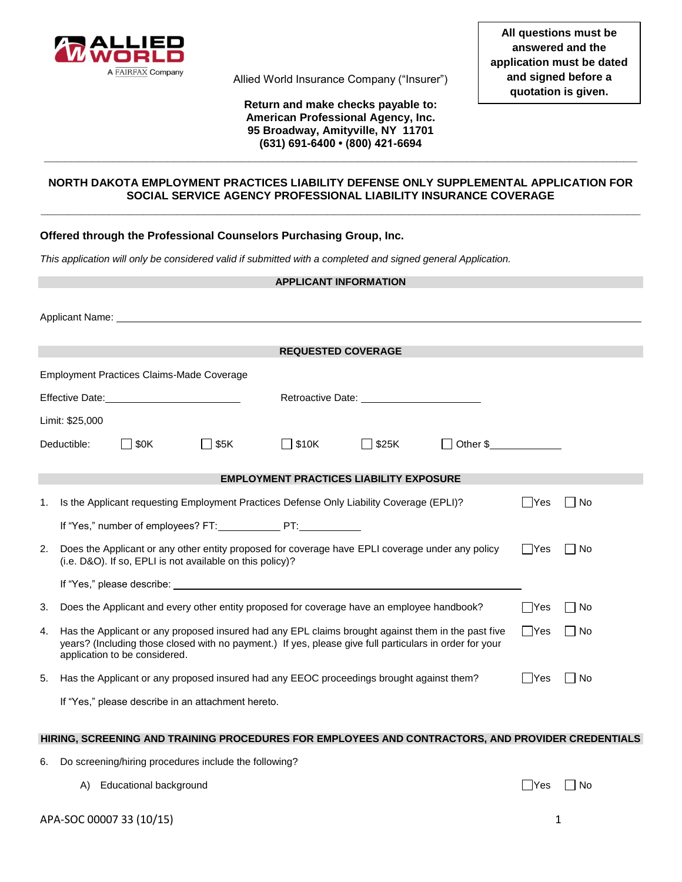

Allied World Insurance Company ("Insurer")

**Return and make checks payable to: American Professional Agency, Inc. 95 Broadway, Amityville, NY 11701 (631) 691-6400 • (800) 421-6694**

## **NORTH DAKOTA EMPLOYMENT PRACTICES LIABILITY DEFENSE ONLY SUPPLEMENTAL APPLICATION FOR SOCIAL SERVICE AGENCY PROFESSIONAL LIABILITY INSURANCE COVERAGE \_\_\_\_\_\_\_\_\_\_\_\_\_\_\_\_\_\_\_\_\_\_\_\_\_\_\_\_\_\_\_\_\_\_\_\_\_\_\_\_\_\_\_\_\_\_\_\_\_\_\_\_\_\_\_\_\_\_\_\_\_\_\_\_\_\_\_\_\_\_\_\_\_\_\_\_\_\_\_\_\_\_\_\_\_\_\_\_**

**\_\_\_\_\_\_\_\_\_\_\_\_\_\_\_\_\_\_\_\_\_\_\_\_\_\_\_\_\_\_\_\_\_\_\_\_\_\_\_\_\_\_\_\_\_\_\_\_\_\_\_\_\_\_\_\_\_\_\_\_\_\_\_\_\_\_\_\_\_\_\_\_\_\_\_\_\_\_\_\_\_\_\_\_\_\_\_**

# **Offered through the Professional Counselors Purchasing Group, Inc.**

*This application will only be considered valid if submitted with a completed and signed general Application.* 

|    | <b>APPLICANT INFORMATION</b>                                                                                                                                                                                                                   |                                                                                                                                    |                                                                                          |                                                |              |          |        |       |
|----|------------------------------------------------------------------------------------------------------------------------------------------------------------------------------------------------------------------------------------------------|------------------------------------------------------------------------------------------------------------------------------------|------------------------------------------------------------------------------------------|------------------------------------------------|--------------|----------|--------|-------|
|    |                                                                                                                                                                                                                                                |                                                                                                                                    |                                                                                          |                                                |              |          |        |       |
|    |                                                                                                                                                                                                                                                |                                                                                                                                    |                                                                                          | <b>REQUESTED COVERAGE</b>                      |              |          |        |       |
|    |                                                                                                                                                                                                                                                |                                                                                                                                    |                                                                                          |                                                |              |          |        |       |
|    |                                                                                                                                                                                                                                                | <b>Employment Practices Claims-Made Coverage</b>                                                                                   |                                                                                          |                                                |              |          |        |       |
|    |                                                                                                                                                                                                                                                |                                                                                                                                    |                                                                                          |                                                |              |          |        |       |
|    | Limit: \$25,000                                                                                                                                                                                                                                |                                                                                                                                    |                                                                                          |                                                |              |          |        |       |
|    | Deductible:                                                                                                                                                                                                                                    | $\Box$ \$0K                                                                                                                        | $\Box$ \$5K                                                                              | $\Box$ \$10K                                   | $\Box$ \$25K | Other \$ |        |       |
|    |                                                                                                                                                                                                                                                |                                                                                                                                    |                                                                                          |                                                |              |          |        |       |
|    |                                                                                                                                                                                                                                                |                                                                                                                                    |                                                                                          | <b>EMPLOYMENT PRACTICES LIABILITY EXPOSURE</b> |              |          |        |       |
| 1. |                                                                                                                                                                                                                                                |                                                                                                                                    | Is the Applicant requesting Employment Practices Defense Only Liability Coverage (EPLI)? |                                                |              |          | - IYes | l No  |
|    |                                                                                                                                                                                                                                                |                                                                                                                                    | If "Yes," number of employees? FT: PT:                                                   |                                                |              |          |        |       |
| 2. | Does the Applicant or any other entity proposed for coverage have EPLI coverage under any policy<br>(i.e. D&O). If so, EPLI is not available on this policy)?                                                                                  |                                                                                                                                    |                                                                                          |                                                |              |          | ∣ ∣Yes | l No  |
|    |                                                                                                                                                                                                                                                |                                                                                                                                    |                                                                                          |                                                |              |          |        |       |
| 3. |                                                                                                                                                                                                                                                | Does the Applicant and every other entity proposed for coverage have an employee handbook?<br>l lYes<br>  No<br>$\Box$ Yes<br>  No |                                                                                          |                                                |              |          |        |       |
| 4. | Has the Applicant or any proposed insured had any EPL claims brought against them in the past five<br>years? (Including those closed with no payment.) If yes, please give full particulars in order for your<br>application to be considered. |                                                                                                                                    |                                                                                          |                                                |              |          |        |       |
| 5. |                                                                                                                                                                                                                                                |                                                                                                                                    | Has the Applicant or any proposed insured had any EEOC proceedings brought against them? |                                                |              |          | IYes   | l INo |
|    |                                                                                                                                                                                                                                                |                                                                                                                                    | If "Yes," please describe in an attachment hereto.                                       |                                                |              |          |        |       |

### **HIRING, SCREENING AND TRAINING PROCEDURES FOR EMPLOYEES AND CONTRACTORS, AND PROVIDER CREDENTIALS**

- 6. Do screening/hiring procedures include the following?
	- A) Educational background

| N٥<br>ے۔ |
|----------|
|----------|